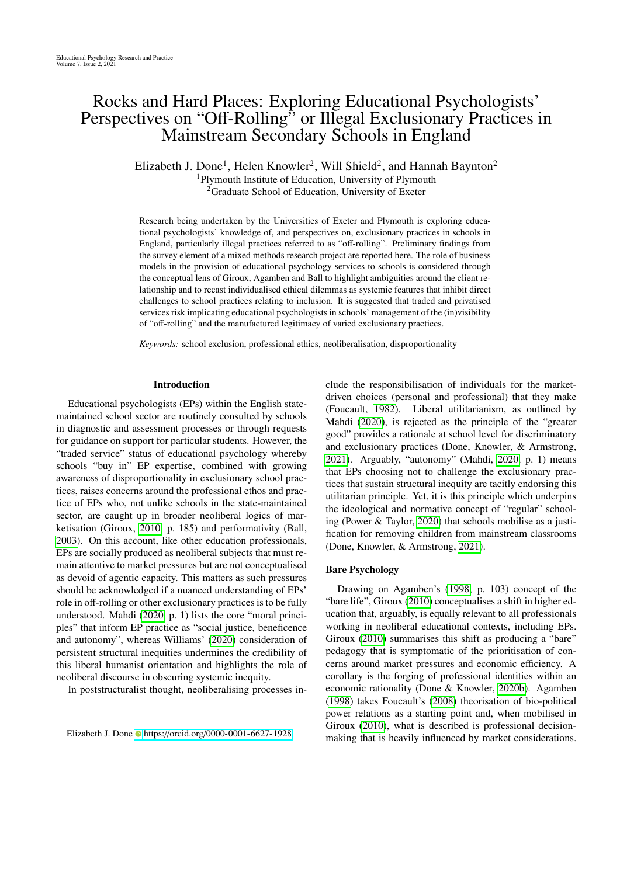# Rocks and Hard Places: Exploring Educational Psychologists' Perspectives on "Off-Rolling" or Illegal Exclusionary Practices in Mainstream Secondary Schools in England

Elizabeth J. Done<sup>1</sup>, Helen Knowler<sup>2</sup>, Will Shield<sup>2</sup>, and Hannah Baynton<sup>2</sup> <sup>1</sup>Plymouth Institute of Education, University of Plymouth <sup>2</sup>Graduate School of Education, University of Exeter

Research being undertaken by the Universities of Exeter and Plymouth is exploring educational psychologists' knowledge of, and perspectives on, exclusionary practices in schools in England, particularly illegal practices referred to as "off-rolling". Preliminary findings from the survey element of a mixed methods research project are reported here. The role of business models in the provision of educational psychology services to schools is considered through the conceptual lens of Giroux, Agamben and Ball to highlight ambiguities around the client relationship and to recast individualised ethical dilemmas as systemic features that inhibit direct challenges to school practices relating to inclusion. It is suggested that traded and privatised services risk implicating educational psychologists in schools' management of the (in)visibility of "off-rolling" and the manufactured legitimacy of varied exclusionary practices.

*Keywords:* school exclusion, professional ethics, neoliberalisation, disproportionality

#### Introduction

Educational psychologists (EPs) within the English statemaintained school sector are routinely consulted by schools in diagnostic and assessment processes or through requests for guidance on support for particular students. However, the "traded service" status of educational psychology whereby schools "buy in" EP expertise, combined with growing awareness of disproportionality in exclusionary school practices, raises concerns around the professional ethos and practice of EPs who, not unlike schools in the state-maintained sector, are caught up in broader neoliberal logics of marketisation (Giroux, [2010,](#page-11-0) p. 185) and performativity (Ball, [2003\)](#page-10-0). On this account, like other education professionals, EPs are socially produced as neoliberal subjects that must remain attentive to market pressures but are not conceptualised as devoid of agentic capacity. This matters as such pressures should be acknowledged if a nuanced understanding of EPs' role in off-rolling or other exclusionary practices is to be fully understood. Mahdi [\(2020,](#page-11-1) p. 1) lists the core "moral principles" that inform EP practice as "social justice, beneficence and autonomy", whereas Williams' [\(2020\)](#page-11-2) consideration of persistent structural inequities undermines the credibility of this liberal humanist orientation and highlights the role of neoliberal discourse in obscuring systemic inequity.

In poststructuralist thought, neoliberalising processes in-

clude the responsibilisation of individuals for the marketdriven choices (personal and professional) that they make (Foucault, [1982\)](#page-11-3). Liberal utilitarianism, as outlined by Mahdi [\(2020\)](#page-11-1), is rejected as the principle of the "greater good" provides a rationale at school level for discriminatory and exclusionary practices (Done, Knowler, & Armstrong, [2021\)](#page-10-1). Arguably, "autonomy" (Mahdi, [2020,](#page-11-1) p. 1) means that EPs choosing not to challenge the exclusionary practices that sustain structural inequity are tacitly endorsing this utilitarian principle. Yet, it is this principle which underpins the ideological and normative concept of "regular" schooling (Power & Taylor, [2020\)](#page-11-4) that schools mobilise as a justification for removing children from mainstream classrooms (Done, Knowler, & Armstrong, [2021\)](#page-10-1).

# Bare Psychology

Drawing on Agamben's [\(1998,](#page-10-2) p. 103) concept of the "bare life", Giroux [\(2010\)](#page-11-0) conceptualises a shift in higher education that, arguably, is equally relevant to all professionals working in neoliberal educational contexts, including EPs. Giroux [\(2010\)](#page-11-0) summarises this shift as producing a "bare" pedagogy that is symptomatic of the prioritisation of concerns around market pressures and economic efficiency. A corollary is the forging of professional identities within an economic rationality (Done & Knowler, [2020b\)](#page-10-3). Agamben [\(1998\)](#page-10-2) takes Foucault's [\(2008\)](#page-11-5) theorisation of bio-political power relations as a starting point and, when mobilised in Giroux [\(2010\)](#page-11-0), what is described is professional decisionmaking that is heavily influenced by market considerations.

Elizabeth J. Done https://orcid.org/[0000-0001-6627-1928](https://orcid.org/0000-0001-6627-1928)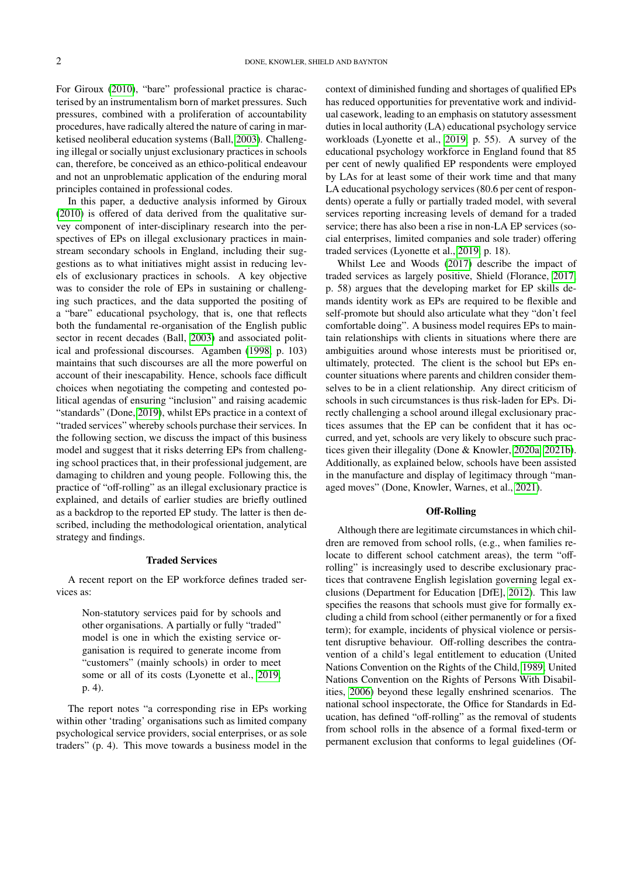For Giroux [\(2010\)](#page-11-0), "bare" professional practice is characterised by an instrumentalism born of market pressures. Such pressures, combined with a proliferation of accountability procedures, have radically altered the nature of caring in marketised neoliberal education systems (Ball, [2003\)](#page-10-0). Challenging illegal or socially unjust exclusionary practices in schools can, therefore, be conceived as an ethico-political endeavour and not an unproblematic application of the enduring moral principles contained in professional codes.

In this paper, a deductive analysis informed by Giroux [\(2010\)](#page-11-0) is offered of data derived from the qualitative survey component of inter-disciplinary research into the perspectives of EPs on illegal exclusionary practices in mainstream secondary schools in England, including their suggestions as to what initiatives might assist in reducing levels of exclusionary practices in schools. A key objective was to consider the role of EPs in sustaining or challenging such practices, and the data supported the positing of a "bare" educational psychology, that is, one that reflects both the fundamental re-organisation of the English public sector in recent decades (Ball, [2003\)](#page-10-0) and associated political and professional discourses. Agamben [\(1998,](#page-10-2) p. 103) maintains that such discourses are all the more powerful on account of their inescapability. Hence, schools face difficult choices when negotiating the competing and contested political agendas of ensuring "inclusion" and raising academic "standards" (Done, [2019\)](#page-10-4), whilst EPs practice in a context of "traded services" whereby schools purchase their services. In the following section, we discuss the impact of this business model and suggest that it risks deterring EPs from challenging school practices that, in their professional judgement, are damaging to children and young people. Following this, the practice of "off-rolling" as an illegal exclusionary practice is explained, and details of earlier studies are briefly outlined as a backdrop to the reported EP study. The latter is then described, including the methodological orientation, analytical strategy and findings.

#### Traded Services

A recent report on the EP workforce defines traded services as:

> Non-statutory services paid for by schools and other organisations. A partially or fully "traded" model is one in which the existing service organisation is required to generate income from "customers" (mainly schools) in order to meet some or all of its costs (Lyonette et al., [2019,](#page-11-6) p. 4).

The report notes "a corresponding rise in EPs working within other 'trading' organisations such as limited company psychological service providers, social enterprises, or as sole traders" (p. 4). This move towards a business model in the

context of diminished funding and shortages of qualified EPs has reduced opportunities for preventative work and individual casework, leading to an emphasis on statutory assessment duties in local authority (LA) educational psychology service workloads (Lyonette et al., [2019,](#page-11-6) p. 55). A survey of the educational psychology workforce in England found that 85 per cent of newly qualified EP respondents were employed by LAs for at least some of their work time and that many LA educational psychology services (80.6 per cent of respondents) operate a fully or partially traded model, with several services reporting increasing levels of demand for a traded service; there has also been a rise in non-LA EP services (social enterprises, limited companies and sole trader) offering traded services (Lyonette et al., [2019,](#page-11-6) p. 18).

Whilst Lee and Woods [\(2017\)](#page-11-7) describe the impact of traded services as largely positive, Shield (Florance, [2017,](#page-11-8) p. 58) argues that the developing market for EP skills demands identity work as EPs are required to be flexible and self-promote but should also articulate what they "don't feel comfortable doing". A business model requires EPs to maintain relationships with clients in situations where there are ambiguities around whose interests must be prioritised or, ultimately, protected. The client is the school but EPs encounter situations where parents and children consider themselves to be in a client relationship. Any direct criticism of schools in such circumstances is thus risk-laden for EPs. Directly challenging a school around illegal exclusionary practices assumes that the EP can be confident that it has occurred, and yet, schools are very likely to obscure such practices given their illegality (Done & Knowler, [2020a,](#page-10-5) [2021b\)](#page-10-6). Additionally, as explained below, schools have been assisted in the manufacture and display of legitimacy through "managed moves" (Done, Knowler, Warnes, et al., [2021\)](#page-10-7).

## Off-Rolling

Although there are legitimate circumstances in which children are removed from school rolls, (e.g., when families relocate to different school catchment areas), the term "offrolling" is increasingly used to describe exclusionary practices that contravene English legislation governing legal exclusions (Department for Education [DfE], [2012\)](#page-10-8). This law specifies the reasons that schools must give for formally excluding a child from school (either permanently or for a fixed term); for example, incidents of physical violence or persistent disruptive behaviour. Off-rolling describes the contravention of a child's legal entitlement to education (United Nations Convention on the Rights of the Child, [1989;](#page-11-9) United Nations Convention on the Rights of Persons With Disabilities, [2006\)](#page-11-10) beyond these legally enshrined scenarios. The national school inspectorate, the Office for Standards in Education, has defined "off-rolling" as the removal of students from school rolls in the absence of a formal fixed-term or permanent exclusion that conforms to legal guidelines (Of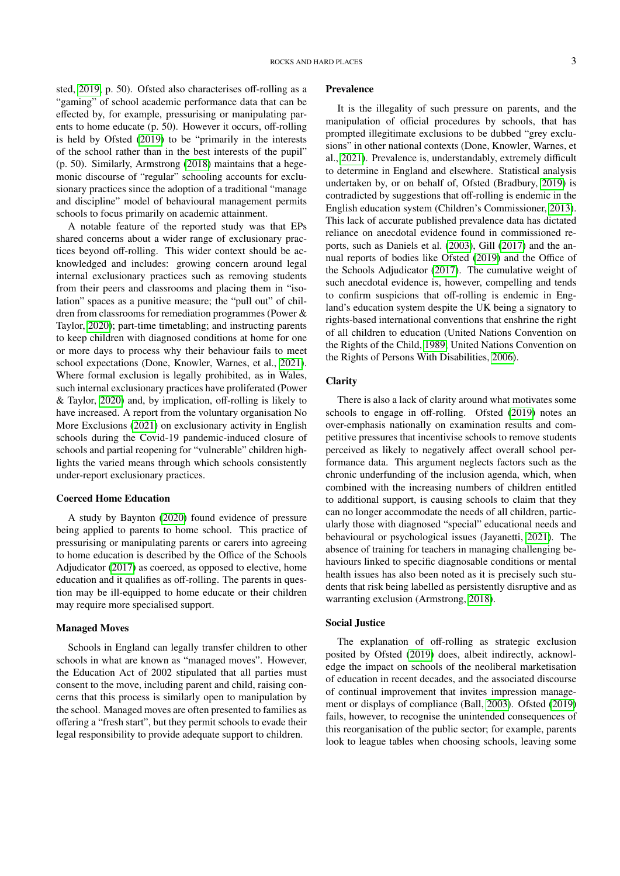sted, [2019,](#page-11-11) p. 50). Ofsted also characterises off-rolling as a "gaming" of school academic performance data that can be effected by, for example, pressurising or manipulating parents to home educate (p. 50). However it occurs, off-rolling is held by Ofsted [\(2019\)](#page-11-11) to be "primarily in the interests of the school rather than in the best interests of the pupil" (p. 50). Similarly, Armstrong [\(2018\)](#page-10-9) maintains that a hegemonic discourse of "regular" schooling accounts for exclusionary practices since the adoption of a traditional "manage and discipline" model of behavioural management permits schools to focus primarily on academic attainment.

A notable feature of the reported study was that EPs shared concerns about a wider range of exclusionary practices beyond off-rolling. This wider context should be acknowledged and includes: growing concern around legal internal exclusionary practices such as removing students from their peers and classrooms and placing them in "isolation" spaces as a punitive measure; the "pull out" of children from classrooms for remediation programmes (Power & Taylor, [2020\)](#page-11-4); part-time timetabling; and instructing parents to keep children with diagnosed conditions at home for one or more days to process why their behaviour fails to meet school expectations (Done, Knowler, Warnes, et al., [2021\)](#page-10-7). Where formal exclusion is legally prohibited, as in Wales, such internal exclusionary practices have proliferated (Power & Taylor, [2020\)](#page-11-4) and, by implication, off-rolling is likely to have increased. A report from the voluntary organisation No More Exclusions [\(2021\)](#page-11-12) on exclusionary activity in English schools during the Covid-19 pandemic-induced closure of schools and partial reopening for "vulnerable" children highlights the varied means through which schools consistently under-report exclusionary practices.

## Coerced Home Education

A study by Baynton [\(2020\)](#page-10-10) found evidence of pressure being applied to parents to home school. This practice of pressurising or manipulating parents or carers into agreeing to home education is described by the Office of the Schools Adjudicator [\(2017\)](#page-11-13) as coerced, as opposed to elective, home education and it qualifies as off-rolling. The parents in question may be ill-equipped to home educate or their children may require more specialised support.

#### Managed Moves

Schools in England can legally transfer children to other schools in what are known as "managed moves". However, the Education Act of 2002 stipulated that all parties must consent to the move, including parent and child, raising concerns that this process is similarly open to manipulation by the school. Managed moves are often presented to families as offering a "fresh start", but they permit schools to evade their legal responsibility to provide adequate support to children.

#### Prevalence

It is the illegality of such pressure on parents, and the manipulation of official procedures by schools, that has prompted illegitimate exclusions to be dubbed "grey exclusions" in other national contexts (Done, Knowler, Warnes, et al., [2021\)](#page-10-7). Prevalence is, understandably, extremely difficult to determine in England and elsewhere. Statistical analysis undertaken by, or on behalf of, Ofsted (Bradbury, [2019\)](#page-10-11) is contradicted by suggestions that off-rolling is endemic in the English education system (Children's Commissioner, [2013\)](#page-10-12). This lack of accurate published prevalence data has dictated reliance on anecdotal evidence found in commissioned reports, such as Daniels et al. [\(2003\)](#page-10-13), Gill [\(2017\)](#page-11-14) and the annual reports of bodies like Ofsted [\(2019\)](#page-11-11) and the Office of the Schools Adjudicator [\(2017\)](#page-11-13). The cumulative weight of such anecdotal evidence is, however, compelling and tends to confirm suspicions that off-rolling is endemic in England's education system despite the UK being a signatory to rights-based international conventions that enshrine the right of all children to education (United Nations Convention on the Rights of the Child, [1989;](#page-11-9) United Nations Convention on the Rights of Persons With Disabilities, [2006\)](#page-11-10).

## **Clarity**

There is also a lack of clarity around what motivates some schools to engage in off-rolling. Ofsted [\(2019\)](#page-11-11) notes an over-emphasis nationally on examination results and competitive pressures that incentivise schools to remove students perceived as likely to negatively affect overall school performance data. This argument neglects factors such as the chronic underfunding of the inclusion agenda, which, when combined with the increasing numbers of children entitled to additional support, is causing schools to claim that they can no longer accommodate the needs of all children, particularly those with diagnosed "special" educational needs and behavioural or psychological issues (Jayanetti, [2021\)](#page-11-15). The absence of training for teachers in managing challenging behaviours linked to specific diagnosable conditions or mental health issues has also been noted as it is precisely such students that risk being labelled as persistently disruptive and as warranting exclusion (Armstrong, [2018\)](#page-10-9).

### Social Justice

The explanation of off-rolling as strategic exclusion posited by Ofsted [\(2019\)](#page-11-11) does, albeit indirectly, acknowledge the impact on schools of the neoliberal marketisation of education in recent decades, and the associated discourse of continual improvement that invites impression management or displays of compliance (Ball, [2003\)](#page-10-0). Ofsted [\(2019\)](#page-11-11) fails, however, to recognise the unintended consequences of this reorganisation of the public sector; for example, parents look to league tables when choosing schools, leaving some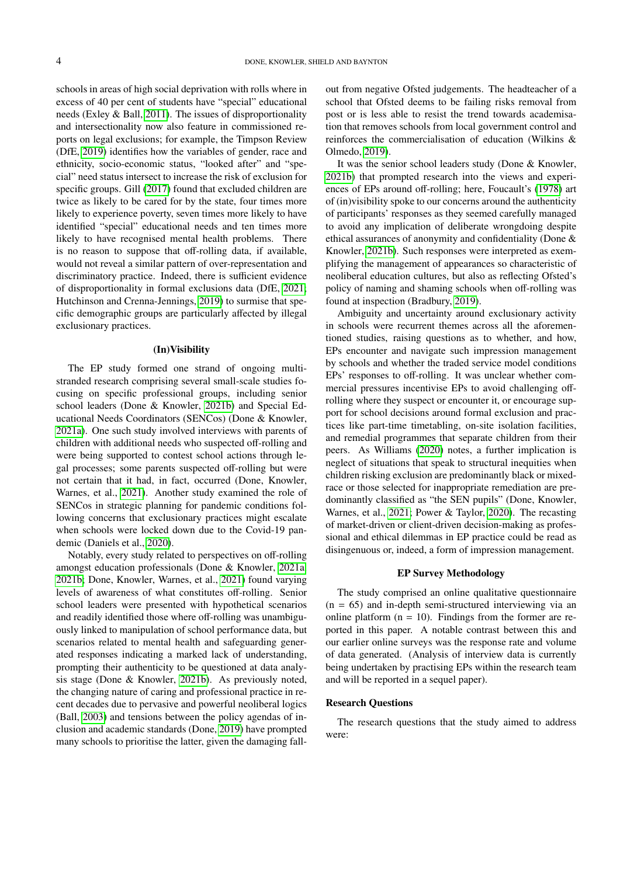schools in areas of high social deprivation with rolls where in excess of 40 per cent of students have "special" educational needs (Exley & Ball, [2011\)](#page-10-14). The issues of disproportionality and intersectionality now also feature in commissioned reports on legal exclusions; for example, the Timpson Review (DfE, [2019\)](#page-10-15) identifies how the variables of gender, race and ethnicity, socio-economic status, "looked after" and "special" need status intersect to increase the risk of exclusion for specific groups. Gill [\(2017\)](#page-11-14) found that excluded children are twice as likely to be cared for by the state, four times more likely to experience poverty, seven times more likely to have identified "special" educational needs and ten times more likely to have recognised mental health problems. There is no reason to suppose that off-rolling data, if available, would not reveal a similar pattern of over-representation and discriminatory practice. Indeed, there is sufficient evidence of disproportionality in formal exclusions data (DfE, [2021;](#page-10-16) Hutchinson and Crenna-Jennings, [2019\)](#page-11-16) to surmise that specific demographic groups are particularly affected by illegal exclusionary practices.

#### (In)Visibility

The EP study formed one strand of ongoing multistranded research comprising several small-scale studies focusing on specific professional groups, including senior school leaders (Done & Knowler, [2021b\)](#page-10-6) and Special Educational Needs Coordinators (SENCos) (Done & Knowler, [2021a\)](#page-10-17). One such study involved interviews with parents of children with additional needs who suspected off-rolling and were being supported to contest school actions through legal processes; some parents suspected off-rolling but were not certain that it had, in fact, occurred (Done, Knowler, Warnes, et al., [2021\)](#page-10-7). Another study examined the role of SENCos in strategic planning for pandemic conditions following concerns that exclusionary practices might escalate when schools were locked down due to the Covid-19 pandemic (Daniels et al., [2020\)](#page-10-18).

Notably, every study related to perspectives on off-rolling amongst education professionals (Done & Knowler, [2021a,](#page-10-17) [2021b;](#page-10-6) Done, Knowler, Warnes, et al., [2021\)](#page-10-7) found varying levels of awareness of what constitutes off-rolling. Senior school leaders were presented with hypothetical scenarios and readily identified those where off-rolling was unambiguously linked to manipulation of school performance data, but scenarios related to mental health and safeguarding generated responses indicating a marked lack of understanding, prompting their authenticity to be questioned at data analysis stage (Done & Knowler, [2021b\)](#page-10-6). As previously noted, the changing nature of caring and professional practice in recent decades due to pervasive and powerful neoliberal logics (Ball, [2003\)](#page-10-0) and tensions between the policy agendas of inclusion and academic standards (Done, [2019\)](#page-10-4) have prompted many schools to prioritise the latter, given the damaging fallout from negative Ofsted judgements. The headteacher of a school that Ofsted deems to be failing risks removal from post or is less able to resist the trend towards academisation that removes schools from local government control and reinforces the commercialisation of education (Wilkins & Olmedo, [2019\)](#page-11-17).

It was the senior school leaders study (Done & Knowler, [2021b\)](#page-10-6) that prompted research into the views and experiences of EPs around off-rolling; here, Foucault's [\(1978\)](#page-11-18) art of (in)visibility spoke to our concerns around the authenticity of participants' responses as they seemed carefully managed to avoid any implication of deliberate wrongdoing despite ethical assurances of anonymity and confidentiality (Done & Knowler, [2021b\)](#page-10-6). Such responses were interpreted as exemplifying the management of appearances so characteristic of neoliberal education cultures, but also as reflecting Ofsted's policy of naming and shaming schools when off-rolling was found at inspection (Bradbury, [2019\)](#page-10-11).

Ambiguity and uncertainty around exclusionary activity in schools were recurrent themes across all the aforementioned studies, raising questions as to whether, and how, EPs encounter and navigate such impression management by schools and whether the traded service model conditions EPs' responses to off-rolling. It was unclear whether commercial pressures incentivise EPs to avoid challenging offrolling where they suspect or encounter it, or encourage support for school decisions around formal exclusion and practices like part-time timetabling, on-site isolation facilities, and remedial programmes that separate children from their peers. As Williams [\(2020\)](#page-11-2) notes, a further implication is neglect of situations that speak to structural inequities when children risking exclusion are predominantly black or mixedrace or those selected for inappropriate remediation are predominantly classified as "the SEN pupils" (Done, Knowler, Warnes, et al., [2021;](#page-10-7) Power & Taylor, [2020\)](#page-11-4). The recasting of market-driven or client-driven decision-making as professional and ethical dilemmas in EP practice could be read as disingenuous or, indeed, a form of impression management.

## EP Survey Methodology

The study comprised an online qualitative questionnaire  $(n = 65)$  and in-depth semi-structured interviewing via an online platform  $(n = 10)$ . Findings from the former are reported in this paper. A notable contrast between this and our earlier online surveys was the response rate and volume of data generated. (Analysis of interview data is currently being undertaken by practising EPs within the research team and will be reported in a sequel paper).

## Research Questions

The research questions that the study aimed to address were: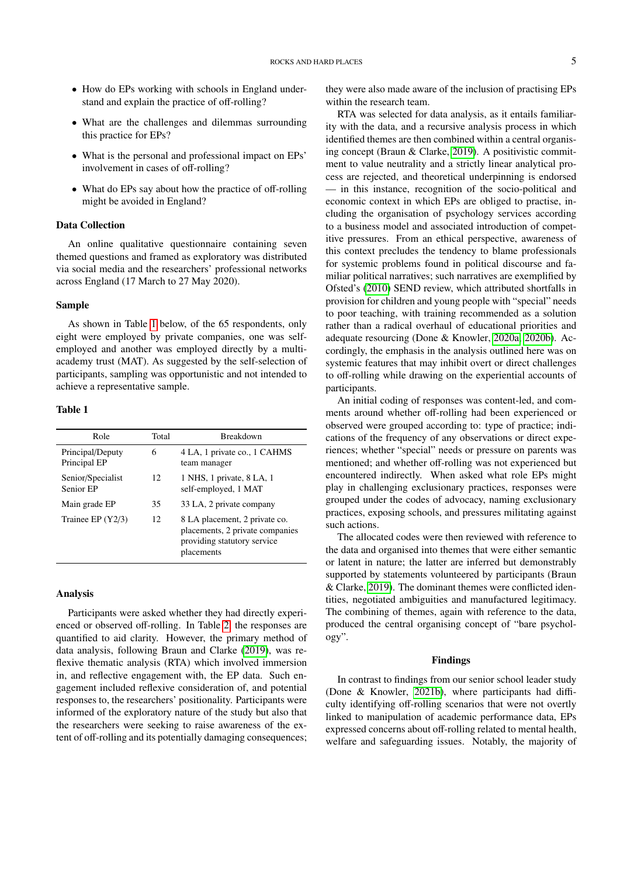- How do EPs working with schools in England understand and explain the practice of off-rolling?
- What are the challenges and dilemmas surrounding this practice for EPs?
- What is the personal and professional impact on EPs' involvement in cases of off-rolling?
- What do EPs say about how the practice of off-rolling might be avoided in England?

# Data Collection

An online qualitative questionnaire containing seven themed questions and framed as exploratory was distributed via social media and the researchers' professional networks across England (17 March to 27 May 2020).

### Sample

As shown in Table [1](#page-4-0) below, of the 65 respondents, only eight were employed by private companies, one was selfemployed and another was employed directly by a multiacademy trust (MAT). As suggested by the self-selection of participants, sampling was opportunistic and not intended to achieve a representative sample.

## <span id="page-4-0"></span>Table 1

| Role                             | Total | <b>Breakdown</b>                                                                                              |  |
|----------------------------------|-------|---------------------------------------------------------------------------------------------------------------|--|
| Principal/Deputy<br>Principal EP | 6     | 4 LA, 1 private co., 1 CAHMS<br>team manager                                                                  |  |
| Senior/Specialist<br>Senior EP   | 12.   | 1 NHS, 1 private, 8 LA, 1<br>self-employed, 1 MAT                                                             |  |
| Main grade EP                    | 35    | 33 LA, 2 private company                                                                                      |  |
| Trainee EP $(Y2/3)$              | 12    | 8 LA placement, 2 private co.<br>placements, 2 private companies<br>providing statutory service<br>placements |  |

#### Analysis

Participants were asked whether they had directly experienced or observed off-rolling. In Table [2,](#page-5-0) the responses are quantified to aid clarity. However, the primary method of data analysis, following Braun and Clarke [\(2019\)](#page-10-19), was reflexive thematic analysis (RTA) which involved immersion in, and reflective engagement with, the EP data. Such engagement included reflexive consideration of, and potential responses to, the researchers' positionality. Participants were informed of the exploratory nature of the study but also that the researchers were seeking to raise awareness of the extent of off-rolling and its potentially damaging consequences;

they were also made aware of the inclusion of practising EPs within the research team.

RTA was selected for data analysis, as it entails familiarity with the data, and a recursive analysis process in which identified themes are then combined within a central organising concept (Braun & Clarke, [2019\)](#page-10-19). A positivistic commitment to value neutrality and a strictly linear analytical process are rejected, and theoretical underpinning is endorsed — in this instance, recognition of the socio-political and economic context in which EPs are obliged to practise, including the organisation of psychology services according to a business model and associated introduction of competitive pressures. From an ethical perspective, awareness of this context precludes the tendency to blame professionals for systemic problems found in political discourse and familiar political narratives; such narratives are exemplified by Ofsted's [\(2010\)](#page-11-19) SEND review, which attributed shortfalls in provision for children and young people with "special" needs to poor teaching, with training recommended as a solution rather than a radical overhaul of educational priorities and adequate resourcing (Done & Knowler, [2020a,](#page-10-5) [2020b\)](#page-10-3). Accordingly, the emphasis in the analysis outlined here was on systemic features that may inhibit overt or direct challenges to off-rolling while drawing on the experiential accounts of participants.

An initial coding of responses was content-led, and comments around whether off-rolling had been experienced or observed were grouped according to: type of practice; indications of the frequency of any observations or direct experiences; whether "special" needs or pressure on parents was mentioned; and whether off-rolling was not experienced but encountered indirectly. When asked what role EPs might play in challenging exclusionary practices, responses were grouped under the codes of advocacy, naming exclusionary practices, exposing schools, and pressures militating against such actions.

The allocated codes were then reviewed with reference to the data and organised into themes that were either semantic or latent in nature; the latter are inferred but demonstrably supported by statements volunteered by participants (Braun & Clarke, [2019\)](#page-10-19). The dominant themes were conflicted identities, negotiated ambiguities and manufactured legitimacy. The combining of themes, again with reference to the data, produced the central organising concept of "bare psychology".

#### Findings

In contrast to findings from our senior school leader study (Done & Knowler, [2021b\)](#page-10-6), where participants had difficulty identifying off-rolling scenarios that were not overtly linked to manipulation of academic performance data, EPs expressed concerns about off-rolling related to mental health, welfare and safeguarding issues. Notably, the majority of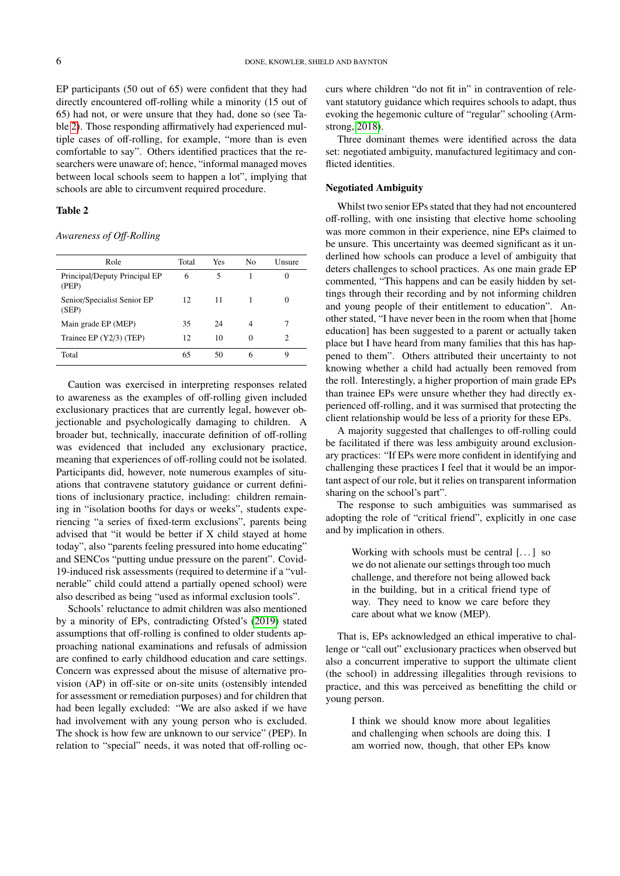EP participants (50 out of 65) were confident that they had directly encountered off-rolling while a minority (15 out of 65) had not, or were unsure that they had, done so (see Table [2\)](#page-5-0). Those responding affirmatively had experienced multiple cases of off-rolling, for example, "more than is even comfortable to say". Others identified practices that the researchers were unaware of; hence, "informal managed moves between local schools seem to happen a lot", implying that schools are able to circumvent required procedure.

## <span id="page-5-0"></span>Table 2

*Awareness of O*ff*-Rolling*

| Role                                   | Total | Yes | N <sub>0</sub> | Unsure |
|----------------------------------------|-------|-----|----------------|--------|
| Principal/Deputy Principal EP<br>(PEP) | 6     | 5   |                | 0      |
| Senior/Specialist Senior EP<br>(SEP)   | 12    | 11  |                | 0      |
| Main grade EP (MEP)                    | 35    | 24  | 4              | 7      |
| Trainee EP (Y2/3) (TEP)                | 12    | 10  | $\Omega$       | 2      |
| Total                                  | 65    | 50  | 6              | Q      |
|                                        |       |     |                |        |

Caution was exercised in interpreting responses related to awareness as the examples of off-rolling given included exclusionary practices that are currently legal, however objectionable and psychologically damaging to children. A broader but, technically, inaccurate definition of off-rolling was evidenced that included any exclusionary practice, meaning that experiences of off-rolling could not be isolated. Participants did, however, note numerous examples of situations that contravene statutory guidance or current definitions of inclusionary practice, including: children remaining in "isolation booths for days or weeks", students experiencing "a series of fixed-term exclusions", parents being advised that "it would be better if X child stayed at home today", also "parents feeling pressured into home educating" and SENCos "putting undue pressure on the parent". Covid-19-induced risk assessments (required to determine if a "vulnerable" child could attend a partially opened school) were also described as being "used as informal exclusion tools".

Schools' reluctance to admit children was also mentioned by a minority of EPs, contradicting Ofsted's [\(2019\)](#page-11-11) stated assumptions that off-rolling is confined to older students approaching national examinations and refusals of admission are confined to early childhood education and care settings. Concern was expressed about the misuse of alternative provision (AP) in off-site or on-site units (ostensibly intended for assessment or remediation purposes) and for children that had been legally excluded: "We are also asked if we have had involvement with any young person who is excluded. The shock is how few are unknown to our service" (PEP). In relation to "special" needs, it was noted that off-rolling occurs where children "do not fit in" in contravention of relevant statutory guidance which requires schools to adapt, thus evoking the hegemonic culture of "regular" schooling (Armstrong, [2018\)](#page-10-9).

Three dominant themes were identified across the data set: negotiated ambiguity, manufactured legitimacy and conflicted identities.

## Negotiated Ambiguity

Whilst two senior EPs stated that they had not encountered off-rolling, with one insisting that elective home schooling was more common in their experience, nine EPs claimed to be unsure. This uncertainty was deemed significant as it underlined how schools can produce a level of ambiguity that deters challenges to school practices. As one main grade EP commented, "This happens and can be easily hidden by settings through their recording and by not informing children and young people of their entitlement to education". Another stated, "I have never been in the room when that [home education] has been suggested to a parent or actually taken place but I have heard from many families that this has happened to them". Others attributed their uncertainty to not knowing whether a child had actually been removed from the roll. Interestingly, a higher proportion of main grade EPs than trainee EPs were unsure whether they had directly experienced off-rolling, and it was surmised that protecting the client relationship would be less of a priority for these EPs.

A majority suggested that challenges to off-rolling could be facilitated if there was less ambiguity around exclusionary practices: "If EPs were more confident in identifying and challenging these practices I feel that it would be an important aspect of our role, but it relies on transparent information sharing on the school's part".

The response to such ambiguities was summarised as adopting the role of "critical friend", explicitly in one case and by implication in others.

> Working with schools must be central  $[\dots]$  so we do not alienate our settings through too much challenge, and therefore not being allowed back in the building, but in a critical friend type of way. They need to know we care before they care about what we know (MEP).

That is, EPs acknowledged an ethical imperative to challenge or "call out" exclusionary practices when observed but also a concurrent imperative to support the ultimate client (the school) in addressing illegalities through revisions to practice, and this was perceived as benefitting the child or young person.

> I think we should know more about legalities and challenging when schools are doing this. I am worried now, though, that other EPs know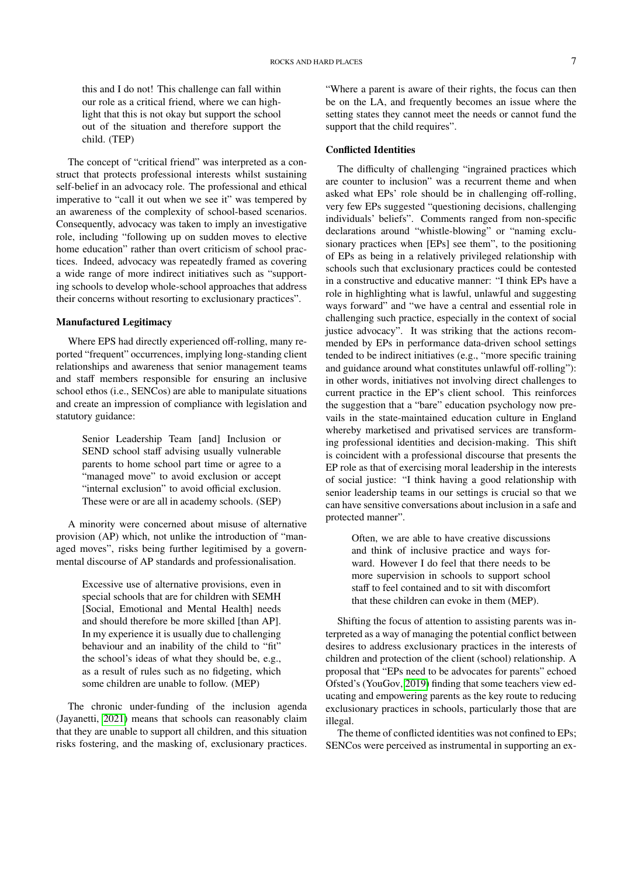this and I do not! This challenge can fall within our role as a critical friend, where we can highlight that this is not okay but support the school out of the situation and therefore support the child. (TEP)

The concept of "critical friend" was interpreted as a construct that protects professional interests whilst sustaining self-belief in an advocacy role. The professional and ethical imperative to "call it out when we see it" was tempered by an awareness of the complexity of school-based scenarios. Consequently, advocacy was taken to imply an investigative role, including "following up on sudden moves to elective home education" rather than overt criticism of school practices. Indeed, advocacy was repeatedly framed as covering a wide range of more indirect initiatives such as "supporting schools to develop whole-school approaches that address their concerns without resorting to exclusionary practices".

## Manufactured Legitimacy

Where EPS had directly experienced off-rolling, many reported "frequent" occurrences, implying long-standing client relationships and awareness that senior management teams and staff members responsible for ensuring an inclusive school ethos (i.e., SENCos) are able to manipulate situations and create an impression of compliance with legislation and statutory guidance:

> Senior Leadership Team [and] Inclusion or SEND school staff advising usually vulnerable parents to home school part time or agree to a "managed move" to avoid exclusion or accept "internal exclusion" to avoid official exclusion. These were or are all in academy schools. (SEP)

A minority were concerned about misuse of alternative provision (AP) which, not unlike the introduction of "managed moves", risks being further legitimised by a governmental discourse of AP standards and professionalisation.

> Excessive use of alternative provisions, even in special schools that are for children with SEMH [Social, Emotional and Mental Health] needs and should therefore be more skilled [than AP]. In my experience it is usually due to challenging behaviour and an inability of the child to "fit" the school's ideas of what they should be, e.g., as a result of rules such as no fidgeting, which some children are unable to follow. (MEP)

The chronic under-funding of the inclusion agenda (Jayanetti, [2021\)](#page-11-15) means that schools can reasonably claim that they are unable to support all children, and this situation risks fostering, and the masking of, exclusionary practices.

"Where a parent is aware of their rights, the focus can then be on the LA, and frequently becomes an issue where the setting states they cannot meet the needs or cannot fund the support that the child requires".

## Conflicted Identities

The difficulty of challenging "ingrained practices which are counter to inclusion" was a recurrent theme and when asked what EPs' role should be in challenging off-rolling, very few EPs suggested "questioning decisions, challenging individuals' beliefs". Comments ranged from non-specific declarations around "whistle-blowing" or "naming exclusionary practices when [EPs] see them", to the positioning of EPs as being in a relatively privileged relationship with schools such that exclusionary practices could be contested in a constructive and educative manner: "I think EPs have a role in highlighting what is lawful, unlawful and suggesting ways forward" and "we have a central and essential role in challenging such practice, especially in the context of social justice advocacy". It was striking that the actions recommended by EPs in performance data-driven school settings tended to be indirect initiatives (e.g., "more specific training and guidance around what constitutes unlawful off-rolling"): in other words, initiatives not involving direct challenges to current practice in the EP's client school. This reinforces the suggestion that a "bare" education psychology now prevails in the state-maintained education culture in England whereby marketised and privatised services are transforming professional identities and decision-making. This shift is coincident with a professional discourse that presents the EP role as that of exercising moral leadership in the interests of social justice: "I think having a good relationship with senior leadership teams in our settings is crucial so that we can have sensitive conversations about inclusion in a safe and protected manner".

> Often, we are able to have creative discussions and think of inclusive practice and ways forward. However I do feel that there needs to be more supervision in schools to support school staff to feel contained and to sit with discomfort that these children can evoke in them (MEP).

Shifting the focus of attention to assisting parents was interpreted as a way of managing the potential conflict between desires to address exclusionary practices in the interests of children and protection of the client (school) relationship. A proposal that "EPs need to be advocates for parents" echoed Ofsted's (YouGov, [2019\)](#page-11-20) finding that some teachers view educating and empowering parents as the key route to reducing exclusionary practices in schools, particularly those that are illegal.

The theme of conflicted identities was not confined to EPs; SENCos were perceived as instrumental in supporting an ex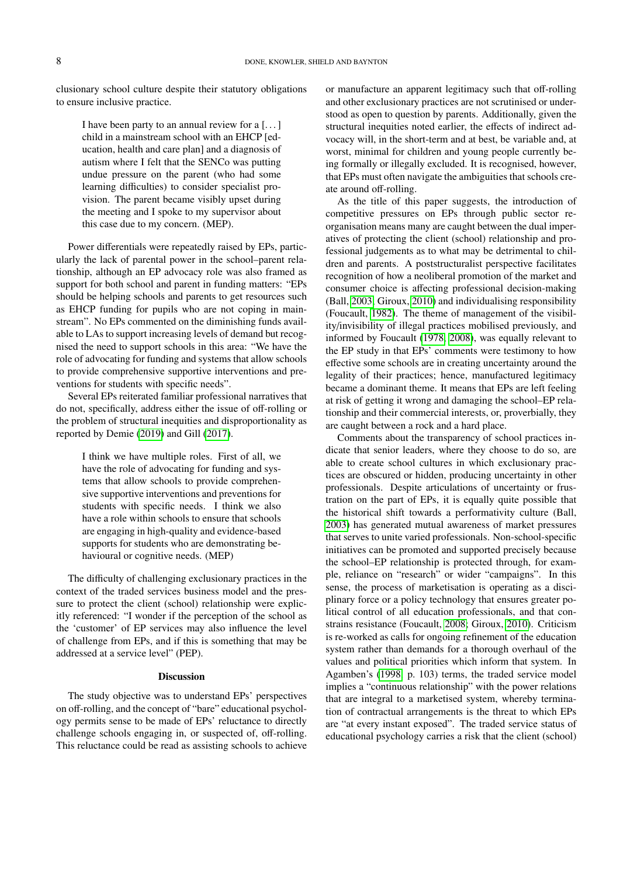clusionary school culture despite their statutory obligations to ensure inclusive practice.

> I have been party to an annual review for a [. . . ] child in a mainstream school with an EHCP [education, health and care plan] and a diagnosis of autism where I felt that the SENCo was putting undue pressure on the parent (who had some learning difficulties) to consider specialist provision. The parent became visibly upset during the meeting and I spoke to my supervisor about this case due to my concern. (MEP).

Power differentials were repeatedly raised by EPs, particularly the lack of parental power in the school–parent relationship, although an EP advocacy role was also framed as support for both school and parent in funding matters: "EPs should be helping schools and parents to get resources such as EHCP funding for pupils who are not coping in mainstream". No EPs commented on the diminishing funds available to LAs to support increasing levels of demand but recognised the need to support schools in this area: "We have the role of advocating for funding and systems that allow schools to provide comprehensive supportive interventions and preventions for students with specific needs".

Several EPs reiterated familiar professional narratives that do not, specifically, address either the issue of off-rolling or the problem of structural inequities and disproportionality as reported by Demie [\(2019\)](#page-10-20) and Gill [\(2017\)](#page-11-14).

> I think we have multiple roles. First of all, we have the role of advocating for funding and systems that allow schools to provide comprehensive supportive interventions and preventions for students with specific needs. I think we also have a role within schools to ensure that schools are engaging in high-quality and evidence-based supports for students who are demonstrating behavioural or cognitive needs. (MEP)

The difficulty of challenging exclusionary practices in the context of the traded services business model and the pressure to protect the client (school) relationship were explicitly referenced: "I wonder if the perception of the school as the 'customer' of EP services may also influence the level of challenge from EPs, and if this is something that may be addressed at a service level" (PEP).

## **Discussion**

The study objective was to understand EPs' perspectives on off-rolling, and the concept of "bare" educational psychology permits sense to be made of EPs' reluctance to directly challenge schools engaging in, or suspected of, off-rolling. This reluctance could be read as assisting schools to achieve or manufacture an apparent legitimacy such that off-rolling and other exclusionary practices are not scrutinised or understood as open to question by parents. Additionally, given the structural inequities noted earlier, the effects of indirect advocacy will, in the short-term and at best, be variable and, at worst, minimal for children and young people currently being formally or illegally excluded. It is recognised, however, that EPs must often navigate the ambiguities that schools create around off-rolling.

As the title of this paper suggests, the introduction of competitive pressures on EPs through public sector reorganisation means many are caught between the dual imperatives of protecting the client (school) relationship and professional judgements as to what may be detrimental to children and parents. A poststructuralist perspective facilitates recognition of how a neoliberal promotion of the market and consumer choice is affecting professional decision-making (Ball, [2003;](#page-10-0) Giroux, [2010\)](#page-11-0) and individualising responsibility (Foucault, [1982\)](#page-11-3). The theme of management of the visibility/invisibility of illegal practices mobilised previously, and informed by Foucault [\(1978,](#page-11-18) [2008\)](#page-11-5), was equally relevant to the EP study in that EPs' comments were testimony to how effective some schools are in creating uncertainty around the legality of their practices; hence, manufactured legitimacy became a dominant theme. It means that EPs are left feeling at risk of getting it wrong and damaging the school–EP relationship and their commercial interests, or, proverbially, they are caught between a rock and a hard place.

Comments about the transparency of school practices indicate that senior leaders, where they choose to do so, are able to create school cultures in which exclusionary practices are obscured or hidden, producing uncertainty in other professionals. Despite articulations of uncertainty or frustration on the part of EPs, it is equally quite possible that the historical shift towards a performativity culture (Ball, [2003\)](#page-10-0) has generated mutual awareness of market pressures that serves to unite varied professionals. Non-school-specific initiatives can be promoted and supported precisely because the school–EP relationship is protected through, for example, reliance on "research" or wider "campaigns". In this sense, the process of marketisation is operating as a disciplinary force or a policy technology that ensures greater political control of all education professionals, and that constrains resistance (Foucault, [2008;](#page-11-5) Giroux, [2010\)](#page-11-0). Criticism is re-worked as calls for ongoing refinement of the education system rather than demands for a thorough overhaul of the values and political priorities which inform that system. In Agamben's [\(1998,](#page-10-2) p. 103) terms, the traded service model implies a "continuous relationship" with the power relations that are integral to a marketised system, whereby termination of contractual arrangements is the threat to which EPs are "at every instant exposed". The traded service status of educational psychology carries a risk that the client (school)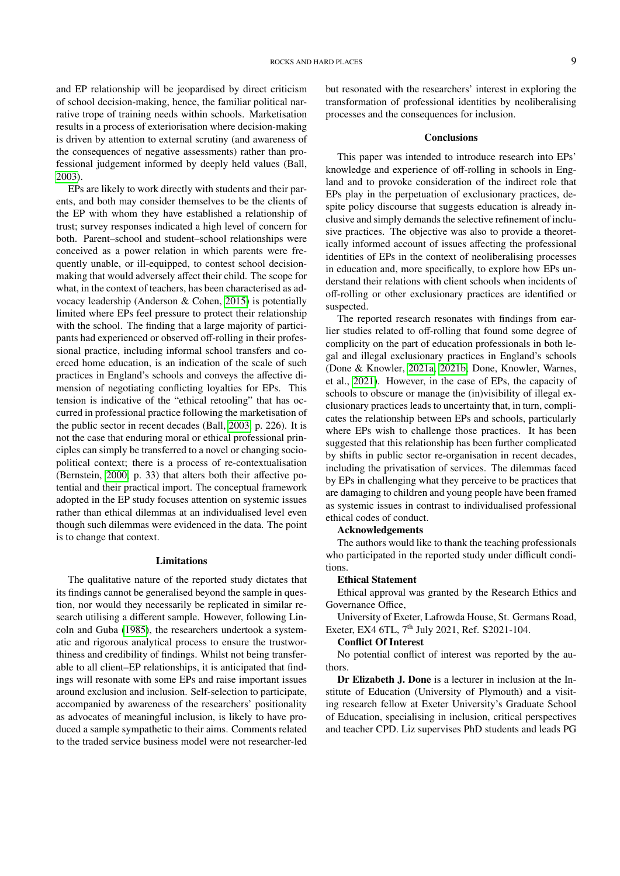and EP relationship will be jeopardised by direct criticism of school decision-making, hence, the familiar political narrative trope of training needs within schools. Marketisation results in a process of exteriorisation where decision-making is driven by attention to external scrutiny (and awareness of the consequences of negative assessments) rather than professional judgement informed by deeply held values (Ball, [2003\)](#page-10-0).

EPs are likely to work directly with students and their parents, and both may consider themselves to be the clients of the EP with whom they have established a relationship of trust; survey responses indicated a high level of concern for both. Parent–school and student–school relationships were conceived as a power relation in which parents were frequently unable, or ill-equipped, to contest school decisionmaking that would adversely affect their child. The scope for what, in the context of teachers, has been characterised as advocacy leadership (Anderson & Cohen, [2015\)](#page-10-21) is potentially limited where EPs feel pressure to protect their relationship with the school. The finding that a large majority of participants had experienced or observed off-rolling in their professional practice, including informal school transfers and coerced home education, is an indication of the scale of such practices in England's schools and conveys the affective dimension of negotiating conflicting loyalties for EPs. This tension is indicative of the "ethical retooling" that has occurred in professional practice following the marketisation of the public sector in recent decades (Ball, [2003,](#page-10-0) p. 226). It is not the case that enduring moral or ethical professional principles can simply be transferred to a novel or changing sociopolitical context; there is a process of re-contextualisation (Bernstein, [2000,](#page-10-22) p. 33) that alters both their affective potential and their practical import. The conceptual framework adopted in the EP study focuses attention on systemic issues rather than ethical dilemmas at an individualised level even though such dilemmas were evidenced in the data. The point is to change that context.

#### Limitations

The qualitative nature of the reported study dictates that its findings cannot be generalised beyond the sample in question, nor would they necessarily be replicated in similar research utilising a different sample. However, following Lincoln and Guba [\(1985\)](#page-11-21), the researchers undertook a systematic and rigorous analytical process to ensure the trustworthiness and credibility of findings. Whilst not being transferable to all client–EP relationships, it is anticipated that findings will resonate with some EPs and raise important issues around exclusion and inclusion. Self-selection to participate, accompanied by awareness of the researchers' positionality as advocates of meaningful inclusion, is likely to have produced a sample sympathetic to their aims. Comments related to the traded service business model were not researcher-led but resonated with the researchers' interest in exploring the transformation of professional identities by neoliberalising processes and the consequences for inclusion.

#### **Conclusions**

This paper was intended to introduce research into EPs' knowledge and experience of off-rolling in schools in England and to provoke consideration of the indirect role that EPs play in the perpetuation of exclusionary practices, despite policy discourse that suggests education is already inclusive and simply demands the selective refinement of inclusive practices. The objective was also to provide a theoretically informed account of issues affecting the professional identities of EPs in the context of neoliberalising processes in education and, more specifically, to explore how EPs understand their relations with client schools when incidents of off-rolling or other exclusionary practices are identified or suspected.

The reported research resonates with findings from earlier studies related to off-rolling that found some degree of complicity on the part of education professionals in both legal and illegal exclusionary practices in England's schools (Done & Knowler, [2021a,](#page-10-17) [2021b;](#page-10-6) Done, Knowler, Warnes, et al., [2021\)](#page-10-7). However, in the case of EPs, the capacity of schools to obscure or manage the (in)visibility of illegal exclusionary practices leads to uncertainty that, in turn, complicates the relationship between EPs and schools, particularly where EPs wish to challenge those practices. It has been suggested that this relationship has been further complicated by shifts in public sector re-organisation in recent decades, including the privatisation of services. The dilemmas faced by EPs in challenging what they perceive to be practices that are damaging to children and young people have been framed as systemic issues in contrast to individualised professional ethical codes of conduct.

#### Acknowledgements

The authors would like to thank the teaching professionals who participated in the reported study under difficult conditions.

#### Ethical Statement

Ethical approval was granted by the Research Ethics and Governance Office,

University of Exeter, Lafrowda House, St. Germans Road, Exeter, EX4 6TL, 7<sup>th</sup> July 2021, Ref. S2021-104.

#### Conflict Of Interest

No potential conflict of interest was reported by the authors.

Dr Elizabeth J. Done is a lecturer in inclusion at the Institute of Education (University of Plymouth) and a visiting research fellow at Exeter University's Graduate School of Education, specialising in inclusion, critical perspectives and teacher CPD. Liz supervises PhD students and leads PG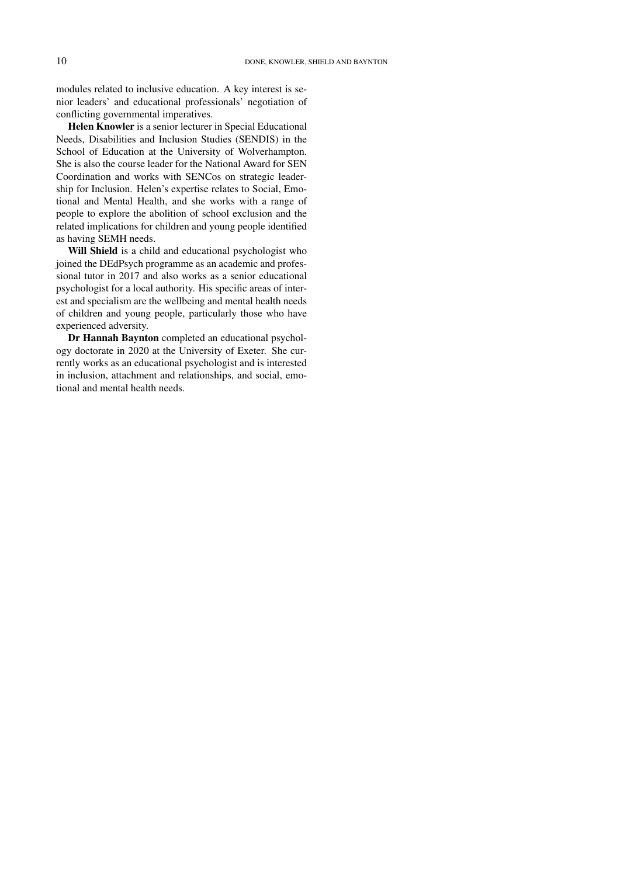modules related to inclusive education. A key interest is senior leaders' and educational professionals' negotiation of conflicting governmental imperatives.

Helen Knowler is a senior lecturer in Special Educational Needs, Disabilities and Inclusion Studies (SENDIS) in the School of Education at the University of Wolverhampton. She is also the course leader for the National Award for SEN Coordination and works with SENCos on strategic leadership for Inclusion. Helen's expertise relates to Social, Emotional and Mental Health, and she works with a range of people to explore the abolition of school exclusion and the related implications for children and young people identified as having SEMH needs.

Will Shield is a child and educational psychologist who joined the DEdPsych programme as an academic and professional tutor in 2017 and also works as a senior educational psychologist for a local authority. His specific areas of interest and specialism are the wellbeing and mental health needs of children and young people, particularly those who have experienced adversity.

Dr Hannah Baynton completed an educational psychology doctorate in 2020 at the University of Exeter. She currently works as an educational psychologist and is interested in inclusion, attachment and relationships, and social, emotional and mental health needs.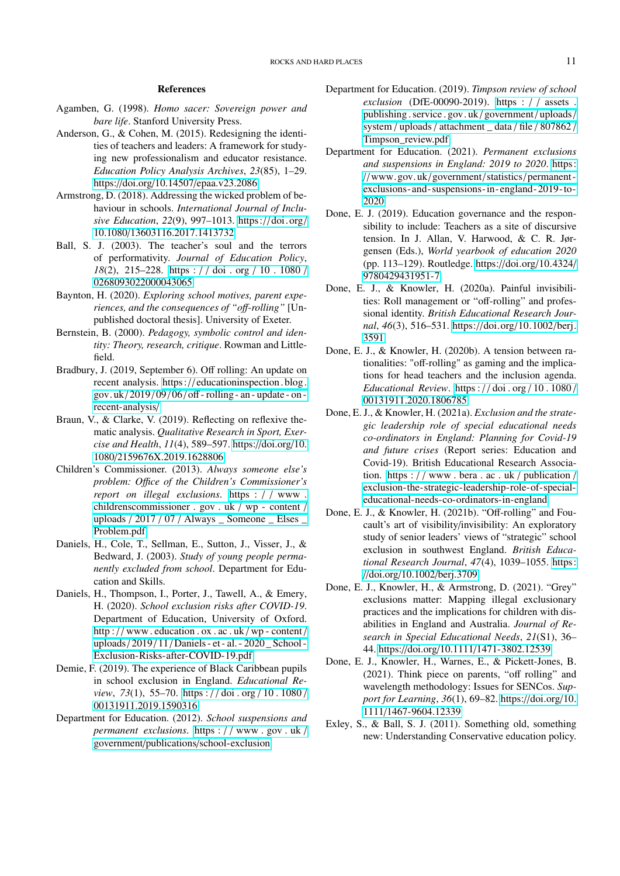## References

- <span id="page-10-2"></span>Agamben, G. (1998). *Homo sacer: Sovereign power and bare life*. Stanford University Press.
- <span id="page-10-21"></span>Anderson, G., & Cohen, M. (2015). Redesigning the identities of teachers and leaders: A framework for studying new professionalism and educator resistance. *Education Policy Analysis Archives*, *23*(85), 1–29. https://doi.org/10.14507/[epaa.v23.2086](https://doi.org/10.14507/epaa.v23.2086)
- <span id="page-10-9"></span>Armstrong, D. (2018). Addressing the wicked problem of behaviour in schools. *International Journal of Inclusive Education*, *22*(9), 997–1013. https://[doi. org](https://doi.org/10.1080/13603116.2017.1413732)/ 10.1080/[13603116.2017.1413732](https://doi.org/10.1080/13603116.2017.1413732)
- <span id="page-10-0"></span>Ball, S. J. (2003). The teacher's soul and the terrors of performativity. *Journal of Education Policy*, *18*(2), 215–228. https : / / doi . org / [10 . 1080](https://doi.org/10.1080/0268093022000043065) / [0268093022000043065](https://doi.org/10.1080/0268093022000043065)
- <span id="page-10-10"></span>Baynton, H. (2020). *Exploring school motives, parent experiences, and the consequences of "o*ff*-rolling"* [Unpublished doctoral thesis]. University of Exeter.
- <span id="page-10-22"></span>Bernstein, B. (2000). *Pedagogy, symbolic control and identity: Theory, research, critique*. Rowman and Littlefield.
- <span id="page-10-11"></span>Bradbury, J. (2019, September 6). Off rolling: An update on recent analysis. https:// [educationinspection. blog.](https://educationinspection.blog.gov.uk/2019/09/06/off-rolling-an-update-on-recent-analysis/) gov.  $uk/2019/09/06/off$ -rolling - an - update - on [recent-analysis](https://educationinspection.blog.gov.uk/2019/09/06/off-rolling-an-update-on-recent-analysis/)/
- <span id="page-10-19"></span>Braun, V., & Clarke, V. (2019). Reflecting on reflexive thematic analysis. *Qualitative Research in Sport, Exercise and Health*, *11*(4), 589–597. https://[doi.org](https://doi.org/10.1080/2159676X.2019.1628806)/10. 1080/[2159676X.2019.1628806](https://doi.org/10.1080/2159676X.2019.1628806)
- <span id="page-10-12"></span>Children's Commissioner. (2013). *Always someone else's problem: O*ffi*ce of the Children's Commissioner's report on illegal exclusions*. https : / / [www .](https://www.childrenscommissioner.gov.uk/wp-content/uploads/2017/07/Always_Someone_Elses_Problem.pdf) [childrenscommissioner . gov . uk](https://www.childrenscommissioner.gov.uk/wp-content/uploads/2017/07/Always_Someone_Elses_Problem.pdf) / wp - content / uploads  $/ 2017 / 07 /$  Always Someone Elses [Problem.pdf](https://www.childrenscommissioner.gov.uk/wp-content/uploads/2017/07/Always_Someone_Elses_Problem.pdf)
- <span id="page-10-13"></span>Daniels, H., Cole, T., Sellman, E., Sutton, J., Visser, J., & Bedward, J. (2003). *Study of young people permanently excluded from school*. Department for Education and Skills.
- <span id="page-10-18"></span>Daniels, H., Thompson, I., Porter, J., Tawell, A., & Emery, H. (2020). *School exclusion risks after COVID-19*. Department of Education, University of Oxford. http ://www.education.ox.ac.uk/wp-content/ uploads/ 2019 / 11 / [Daniels - et - al. - 2020 \\_ School -](http://www.education.ox.ac.uk/wp-content/uploads/2019/11/Daniels-et-al.-2020_School-Exclusion-Risks-after-COVID-19.pdf) [Exclusion-Risks-after-COVID-19.pdf](http://www.education.ox.ac.uk/wp-content/uploads/2019/11/Daniels-et-al.-2020_School-Exclusion-Risks-after-COVID-19.pdf)
- <span id="page-10-20"></span>Demie, F. (2019). The experience of Black Caribbean pupils in school exclusion in England. *Educational Review*, *73*(1), 55–70. https : / / doi . org / [10 . 1080](https://doi.org/10.1080/00131911.2019.1590316) / [00131911.2019.1590316](https://doi.org/10.1080/00131911.2019.1590316)
- <span id="page-10-8"></span>Department for Education. (2012). *School suspensions and permanent exclusions*. https : / / [www . gov . uk](https://www.gov.uk/government/publications/school-exclusion) / government/publications/[school-exclusion](https://www.gov.uk/government/publications/school-exclusion)
- <span id="page-10-15"></span>Department for Education. (2019). *Timpson review of school exclusion* (DfE-00090-2019). https : / / [assets .](https://assets.publishing.service.gov.uk/government/uploads/system/uploads/attachment_data/file/807862/Timpson_review.pdf) [publishing . service . gov. uk](https://assets.publishing.service.gov.uk/government/uploads/system/uploads/attachment_data/file/807862/Timpson_review.pdf) / government / uploads/ system / uploads / [attachment \\_ data](https://assets.publishing.service.gov.uk/government/uploads/system/uploads/attachment_data/file/807862/Timpson_review.pdf) / file / 807862 / [Timpson\\_review.pdf](https://assets.publishing.service.gov.uk/government/uploads/system/uploads/attachment_data/file/807862/Timpson_review.pdf)
- <span id="page-10-16"></span>Department for Education. (2021). *Permanent exclusions and suspensions in England: 2019 to 2020*. [https:](https://www.gov.uk/government/statistics/permanent-exclusions-and-suspensions-in-england-2019-to-2020) //[www. gov. uk](https://www.gov.uk/government/statistics/permanent-exclusions-and-suspensions-in-england-2019-to-2020)/government/statistics/permanent [exclusions-and- suspensions-in-england- 2019-to-](https://www.gov.uk/government/statistics/permanent-exclusions-and-suspensions-in-england-2019-to-2020)[2020](https://www.gov.uk/government/statistics/permanent-exclusions-and-suspensions-in-england-2019-to-2020)
- <span id="page-10-4"></span>Done, E. J. (2019). Education governance and the responsibility to include: Teachers as a site of discursive tension. In J. Allan, V. Harwood, & C. R. Jørgensen (Eds.), *World yearbook of education 2020* (pp. 113–129). Routledge. https://doi.org/[10.4324](https://doi.org/10.4324/9780429431951-7)/ [9780429431951-7](https://doi.org/10.4324/9780429431951-7)
- <span id="page-10-5"></span>Done, E. J., & Knowler, H. (2020a). Painful invisibilities: Roll management or "off-rolling" and professional identity. *British Educational Research Journal*, *46*(3), 516–531. https://doi.org/[10.1002](https://doi.org/10.1002/berj.3591)/berj. [3591](https://doi.org/10.1002/berj.3591)
- <span id="page-10-3"></span>Done, E. J., & Knowler, H. (2020b). A tension between rationalities: "off-rolling" as gaming and the implications for head teachers and the inclusion agenda. *Educational Review*. https : / / doi . org / [10 . 1080](https://doi.org/10.1080/00131911.2020.1806785) / [00131911.2020.1806785](https://doi.org/10.1080/00131911.2020.1806785)
- <span id="page-10-17"></span>Done, E. J., & Knowler, H. (2021a). *Exclusion and the strategic leadership role of special educational needs co-ordinators in England: Planning for Covid-19 and future crises* (Report series: Education and Covid-19). British Educational Research Association. https :  $//$  [www . bera . ac . uk](https://www.bera.ac.uk/publication/exclusion-the-strategic-leadership-role-of-special-educational-needs-co-ordinators-in-england) / publication / [exclusion-the-strategic-leadership-role-of-special](https://www.bera.ac.uk/publication/exclusion-the-strategic-leadership-role-of-special-educational-needs-co-ordinators-in-england)[educational-needs-co-ordinators-in-england](https://www.bera.ac.uk/publication/exclusion-the-strategic-leadership-role-of-special-educational-needs-co-ordinators-in-england)
- <span id="page-10-6"></span>Done, E. J., & Knowler, H. (2021b). "Off-rolling" and Foucault's art of visibility/invisibility: An exploratory study of senior leaders' views of "strategic" school exclusion in southwest England. *British Educational Research Journal*, *47*(4), 1039–1055. [https:](https://doi.org/10.1002/berj.3709) //doi.org/10.1002/[berj.3709](https://doi.org/10.1002/berj.3709)
- <span id="page-10-1"></span>Done, E. J., Knowler, H., & Armstrong, D. (2021). "Grey" exclusions matter: Mapping illegal exclusionary practices and the implications for children with disabilities in England and Australia. *Journal of Research in Special Educational Needs*, *21*(S1), 36– 44. https://doi.org/10.1111/[1471-3802.12539](https://doi.org/10.1111/1471-3802.12539)
- <span id="page-10-7"></span>Done, E. J., Knowler, H., Warnes, E., & Pickett-Jones, B. (2021). Think piece on parents, "off rolling" and wavelength methodology: Issues for SENCos. *Support for Learning*, *36*(1), 69–82. https://[doi.org](https://doi.org/10.1111/1467-9604.12339)/10. 1111/[1467-9604.12339](https://doi.org/10.1111/1467-9604.12339)
- <span id="page-10-14"></span>Exley, S., & Ball, S. J. (2011). Something old, something new: Understanding Conservative education policy.